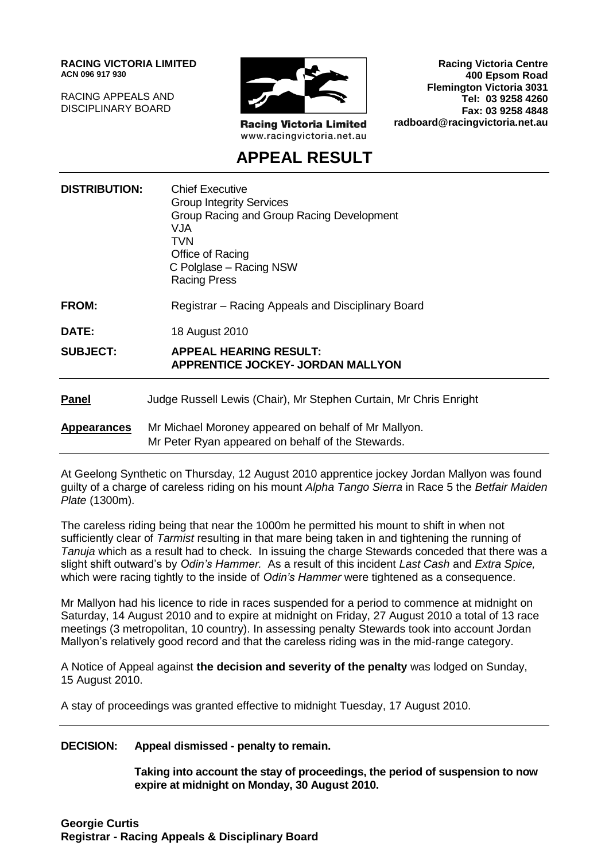**RACING VICTORIA LIMITED ACN 096 917 930**

RACING APPEALS AND DISCIPLINARY BOARD



**Racing Victoria Limited** www.racingvictoria.net.au

**Racing Victoria Centre 400 Epsom Road Flemington Victoria 3031 Tel: 03 9258 4260 Fax: 03 9258 4848 radboard@racingvictoria.net.au**

# **APPEAL RESULT**

| <b>DISTRIBUTION:</b> | <b>Chief Executive</b><br><b>Group Integrity Services</b><br>Group Racing and Group Racing Development<br><b>VJA</b><br>TVN<br>Office of Racing<br>C Polglase - Racing NSW<br><b>Racing Press</b> |
|----------------------|---------------------------------------------------------------------------------------------------------------------------------------------------------------------------------------------------|
| <b>FROM:</b>         | Registrar – Racing Appeals and Disciplinary Board                                                                                                                                                 |
| DATE:                | 18 August 2010                                                                                                                                                                                    |
| <b>SUBJECT:</b>      | <b>APPEAL HEARING RESULT:</b><br><b>APPRENTICE JOCKEY- JORDAN MALLYON</b>                                                                                                                         |
| <b>Panel</b>         | Judge Russell Lewis (Chair), Mr Stephen Curtain, Mr Chris Enright                                                                                                                                 |
| <b>Appearances</b>   | Mr Michael Moroney appeared on behalf of Mr Mallyon.<br>Mr Peter Ryan appeared on behalf of the Stewards.                                                                                         |

At Geelong Synthetic on Thursday, 12 August 2010 apprentice jockey Jordan Mallyon was found guilty of a charge of careless riding on his mount *Alpha Tango Sierra* in Race 5 the *Betfair Maiden Plate* (1300m).

The careless riding being that near the 1000m he permitted his mount to shift in when not sufficiently clear of *Tarmist* resulting in that mare being taken in and tightening the running of *Tanuja* which as a result had to check. In issuing the charge Stewards conceded that there was a slight shift outward's by *Odin's Hammer.* As a result of this incident *Last Cash* and *Extra Spice,* which were racing tightly to the inside of *Odin's Hammer* were tightened as a consequence.

Mr Mallyon had his licence to ride in races suspended for a period to commence at midnight on Saturday, 14 August 2010 and to expire at midnight on Friday, 27 August 2010 a total of 13 race meetings (3 metropolitan, 10 country). In assessing penalty Stewards took into account Jordan Mallyon's relatively good record and that the careless riding was in the mid-range category.

A Notice of Appeal against **the decision and severity of the penalty** was lodged on Sunday, 15 August 2010.

A stay of proceedings was granted effective to midnight Tuesday, 17 August 2010.

#### **DECISION: Appeal dismissed - penalty to remain.**

**Taking into account the stay of proceedings, the period of suspension to now expire at midnight on Monday, 30 August 2010.**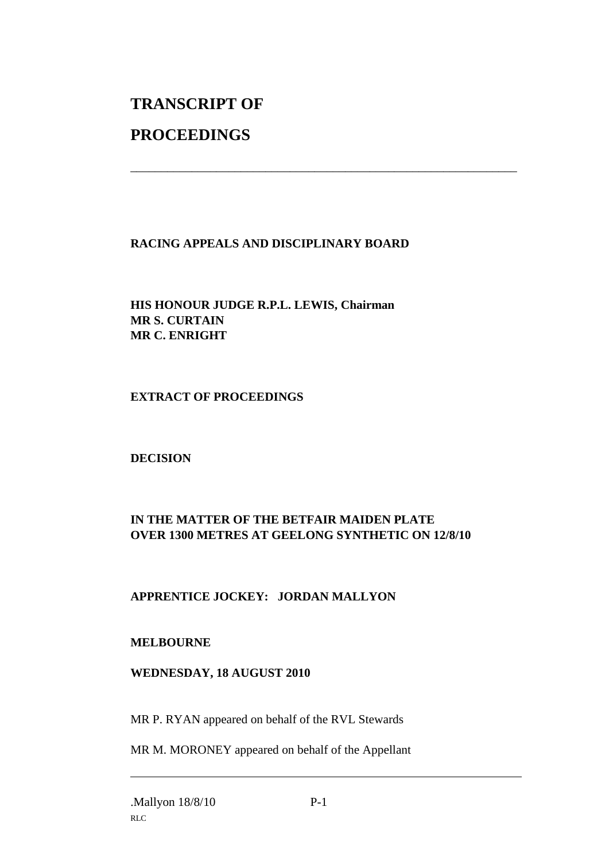# **TRANSCRIPT OF**

## **PROCEEDINGS**

## **RACING APPEALS AND DISCIPLINARY BOARD**

\_\_\_\_\_\_\_\_\_\_\_\_\_\_\_\_\_\_\_\_\_\_\_\_\_\_\_\_\_\_\_\_\_\_\_\_\_\_\_\_\_\_\_\_\_\_\_\_\_\_\_\_\_\_\_\_\_\_\_\_\_\_\_

#### **HIS HONOUR JUDGE R.P.L. LEWIS, Chairman MR S. CURTAIN MR C. ENRIGHT**

#### **EXTRACT OF PROCEEDINGS**

#### **DECISION**

## **IN THE MATTER OF THE BETFAIR MAIDEN PLATE OVER 1300 METRES AT GEELONG SYNTHETIC ON 12/8/10**

## **APPRENTICE JOCKEY: JORDAN MALLYON**

#### **MELBOURNE**

#### **WEDNESDAY, 18 AUGUST 2010**

MR P. RYAN appeared on behalf of the RVL Stewards

MR M. MORONEY appeared on behalf of the Appellant